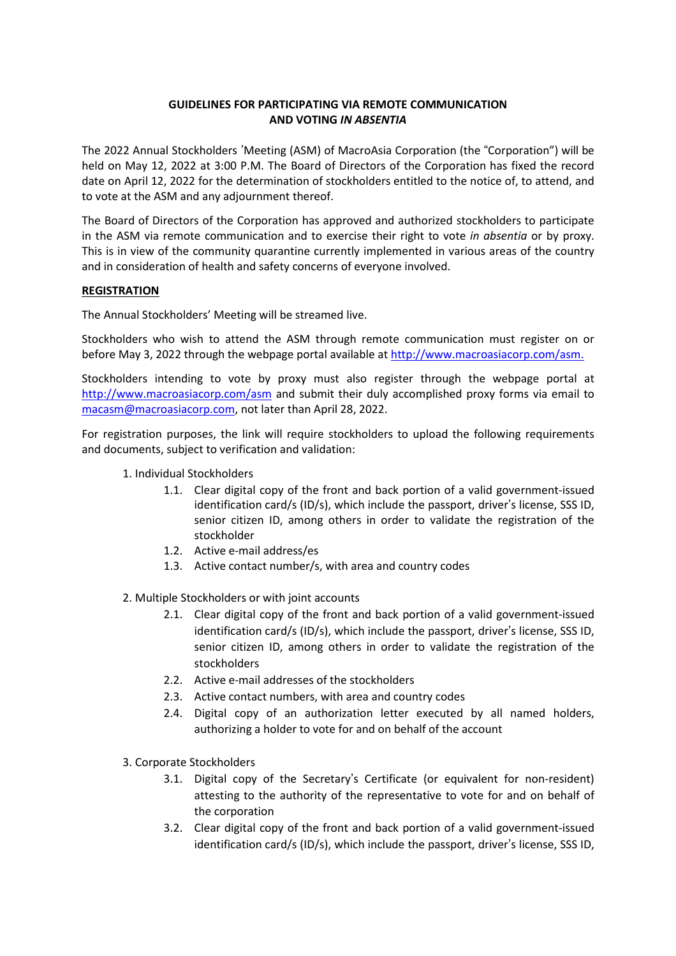# **GUIDELINES FOR PARTICIPATING VIA REMOTE COMMUNICATION AND VOTING** *IN ABSENTIA*

The 2022 Annual Stockholders 'Meeting (ASM) of MacroAsia Corporation (the "Corporation") will be held on May 12, 2022 at 3:00 P.M. The Board of Directors of the Corporation has fixed the record date on April 12, 2022 for the determination of stockholders entitled to the notice of, to attend, and to vote at the ASM and any adjournment thereof.

The Board of Directors of the Corporation has approved and authorized stockholders to participate in the ASM via remote communication and to exercise their right to vote *in absentia* or by proxy. This is in view of the community quarantine currently implemented in various areas of the country and in consideration of health and safety concerns of everyone involved.

# **REGISTRATION**

The Annual Stockholders' Meeting will be streamed live.

Stockholders who wish to attend the ASM through remote communication must register on or before May 3, 2022 through the webpage portal available at [http://www.macroasiacorp.com/asm.](http://www.macroasiacorp.com/asm)

Stockholders intending to vote by proxy must also register through the webpage portal at <http://www.macroasiacorp.com/asm> and submit their duly accomplished proxy forms via email to [macasm@macroasiacorp.com,](mailto:macasm@macroasiacorp.com) not later than April 28, 2022.

For registration purposes, the link will require stockholders to upload the following requirements and documents, subject to verification and validation:

- 1. Individual Stockholders
	- 1.1. Clear digital copy of the front and back portion of a valid government-issued identification card/s (ID/s), which include the passport, driver's license, SSS ID, senior citizen ID, among others in order to validate the registration of the stockholder
	- 1.2. Active e-mail address/es
	- 1.3. Active contact number/s, with area and country codes
- 2. Multiple Stockholders or with joint accounts
	- 2.1. Clear digital copy of the front and back portion of a valid government-issued identification card/s (ID/s), which include the passport, driver's license, SSS ID, senior citizen ID, among others in order to validate the registration of the stockholders
	- 2.2. Active e-mail addresses of the stockholders
	- 2.3. Active contact numbers, with area and country codes
	- 2.4. Digital copy of an authorization letter executed by all named holders, authorizing a holder to vote for and on behalf of the account
- 3. Corporate Stockholders
	- 3.1. Digital copy of the Secretary's Certificate (or equivalent for non-resident) attesting to the authority of the representative to vote for and on behalf of the corporation
	- 3.2. Clear digital copy of the front and back portion of a valid government-issued identification card/s (ID/s), which include the passport, driver's license, SSS ID,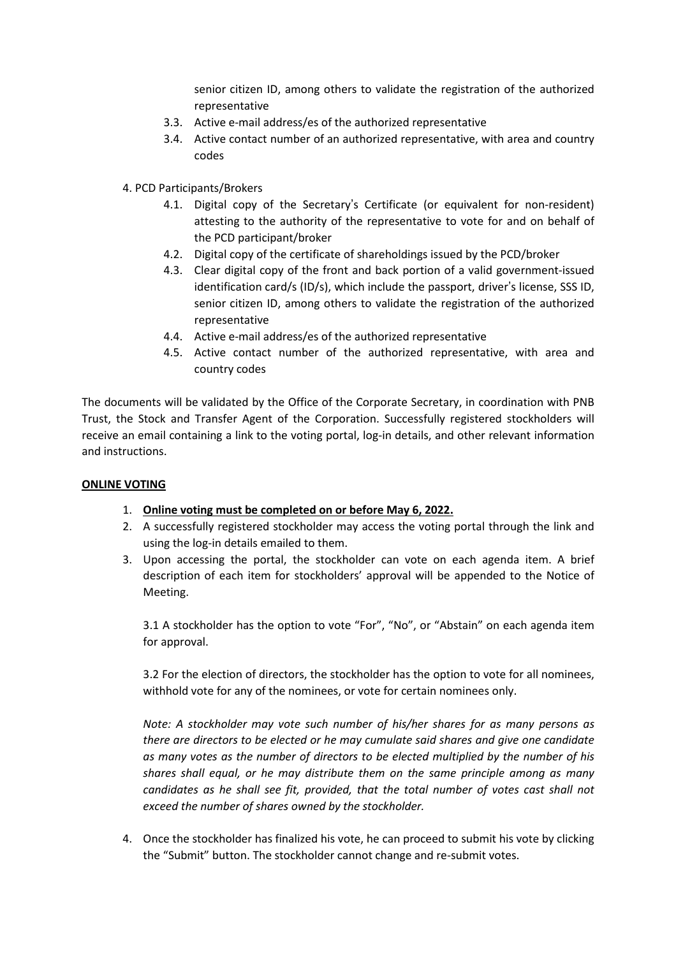senior citizen ID, among others to validate the registration of the authorized representative

- 3.3. Active e-mail address/es of the authorized representative
- 3.4. Active contact number of an authorized representative, with area and country codes
- 4. PCD Participants/Brokers
	- 4.1. Digital copy of the Secretary's Certificate (or equivalent for non-resident) attesting to the authority of the representative to vote for and on behalf of the PCD participant/broker
	- 4.2. Digital copy of the certificate of shareholdings issued by the PCD/broker
	- 4.3. Clear digital copy of the front and back portion of a valid government-issued identification card/s (ID/s), which include the passport, driver's license, SSS ID, senior citizen ID, among others to validate the registration of the authorized representative
	- 4.4. Active e-mail address/es of the authorized representative
	- 4.5. Active contact number of the authorized representative, with area and country codes

The documents will be validated by the Office of the Corporate Secretary, in coordination with PNB Trust, the Stock and Transfer Agent of the Corporation. Successfully registered stockholders will receive an email containing a link to the voting portal, log-in details, and other relevant information and instructions.

### **ONLINE VOTING**

- 1. **Online voting must be completed on or before May 6, 2022.**
- 2. A successfully registered stockholder may access the voting portal through the link and using the log-in details emailed to them.
- 3. Upon accessing the portal, the stockholder can vote on each agenda item. A brief description of each item for stockholders' approval will be appended to the Notice of Meeting.

3.1 A stockholder has the option to vote "For", "No", or "Abstain" on each agenda item for approval.

3.2 For the election of directors, the stockholder has the option to vote for all nominees, withhold vote for any of the nominees, or vote for certain nominees only.

*Note: A stockholder may vote such number of his/her shares for as many persons as there are directors to be elected or he may cumulate said shares and give one candidate as many votes as the number of directors to be elected multiplied by the number of his shares shall equal, or he may distribute them on the same principle among as many candidates as he shall see fit, provided, that the total number of votes cast shall not exceed the number of shares owned by the stockholder.*

4. Once the stockholder has finalized his vote, he can proceed to submit his vote by clicking the "Submit" button. The stockholder cannot change and re-submit votes.